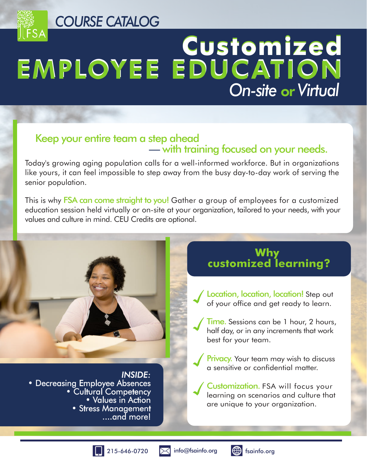*COURSE CATALOG*

# **Customized** EMPLOYEE EDUCATION *On-site* or *Virtual*

## Keep your entire team a step ahead — with training focused on your needs.

Today's growing aging population calls for a well-informed workforce. But in organizations like yours, it can feel impossible to step away from the busy day-to-day work of serving the senior population.

This is why **FSA can come straight to you!** Gather a group of employees for a customized education session held virtually or on-site at your organization, tailored to your needs, with your values and culture in mind. CEU Credits are optional.

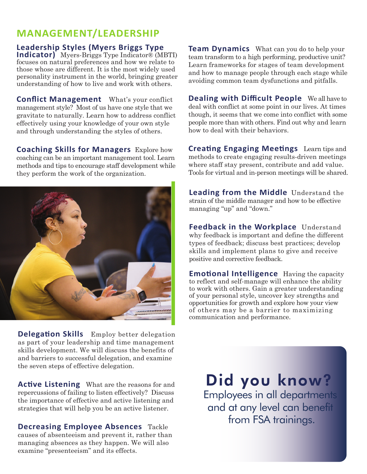# **MANAGEMENT/LEADERSHIP**

#### **Leadership Styles (Myers Briggs Type**

**Indicator)** Myers-Briggs Type Indicator® (MBTI) focuses on natural preferences and how we relate to those whose are different. It is the most widely used personality instrument in the world, bringing greater understanding of how to live and work with others.

**Conflict Management** What's your conflict management style? Most of us have one style that we gravitate to naturally. Learn how to address conflict effectively using your knowledge of your own style and through understanding the styles of others.

**Coaching Skills for Managers** Explore how coaching can be an important management tool. Learn methods and tips to encourage staff development while they perform the work of the organization.



**Delegation Skills** Employ better delegation as part of your leadership and time management skills development. We will discuss the benefits of and barriers to successful delegation, and examine the seven steps of effective delegation.

**Active Listening** What are the reasons for and repercussions of failing to listen effectively? Discuss the importance of effective and active listening and strategies that will help you be an active listener.

**Decreasing Employee Absences** Tackle causes of absenteeism and prevent it, rather than managing absences as they happen. We will also examine "presenteeism" and its effects.

**Team Dynamics** What can you do to help your team transform to a high performing, productive unit? Learn frameworks for stages of team development and how to manage people through each stage while avoiding common team dysfunctions and pitfalls.

**Dealing with Difficult People** We all have to deal with conflict at some point in our lives. At times though, it seems that we come into conflict with some people more than with others. Find out why and learn how to deal with their behaviors.

**Creating Engaging Meetings** Learn tips and methods to create engaging results-driven meetings where staff stay present, contribute and add value. Tools for virtual and in-person meetings will be shared.

**Leading from the Middle** Understand the strain of the middle manager and how to be effective managing "up" and "down."

**Feedback in the Workplace** Understand why feedback is important and define the different types of feedback; discuss best practices; develop skills and implement plans to give and receive positive and corrective feedback.

**Emotional Intelligence** Having the capacity to reflect and self-manage will enhance the ability to work with others. Gain a greater understanding of your personal style, uncover key strengths and opportunities for growth and explore how your view of others may be a barrier to maximizing communication and performance.

Did you know? Employees in all departments and at any level can benefit from FSA trainings.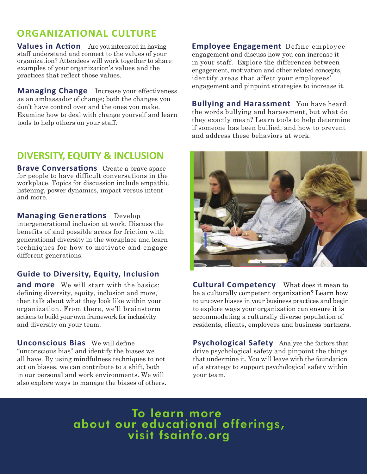# **ORGANIZATIONAL CULTURE**

**Values in Action** Are you interested in having staff understand and connect to the values of your organization? Attendees will work together to share examples of your organization's values and the practices that reflect those values.

**Managing Change** Increase your effectiveness as an ambassador of change; both the changes you don't have control over and the ones you make. Examine how to deal with change yourself and learn tools to help others on your staff.

### **DIVERSITY, EQUITY & INCLUSION**

**Brave Conversations** Create a brave space for people to have difficult conversations in the workplace. Topics for discussion include empathic listening, power dynamics, impact versus intent and more.

**Managing Generations** Develop

intergenerational inclusion at work. Discuss the benefits of and possible areas for friction with generational diversity in the workplace and learn techniques for how to motivate and engage different generations.

#### **Guide to Diversity, Equity, Inclusion**

**and more** We will start with the basics: defining diversity, equity, inclusion and more, then talk about what they look like within your organization. From there, we'll brainstorm actions to build your own framework for inclusivity and diversity on your team.

**Unconscious Bias** We will define "unconscious bias" and identify the biases we all have. By using mindfulness techniques to not act on biases, we can contribute to a shift, both in our personal and work environments. We will also explore ways to manage the biases of others. **Employee Engagement** Define employee engagement and discuss how you can increase it in your staff. Explore the differences between engagement, motivation and other related concepts, identify areas that affect your employees' engagement and pinpoint strategies to increase it.

**Bullying and Harassment** You have heard the words bullying and harassment, but what do they exactly mean? Learn tools to help determine if someone has been bullied, and how to prevent and address these behaviors at work.



**Cultural Competency** What does it mean to be a culturally competent organization? Learn how to uncover biases in your business practices and begin to explore ways your organization can ensure it is accommodating a culturally diverse population of residents, clients, employees and business partners.

**Psychological Safety** Analyze the factors that drive psychological safety and pinpoint the things that undermine it. You will leave with the foundation of a strategy to support psychological safety within your team.

To learn more about our educational offerings, visit fsainfo.org